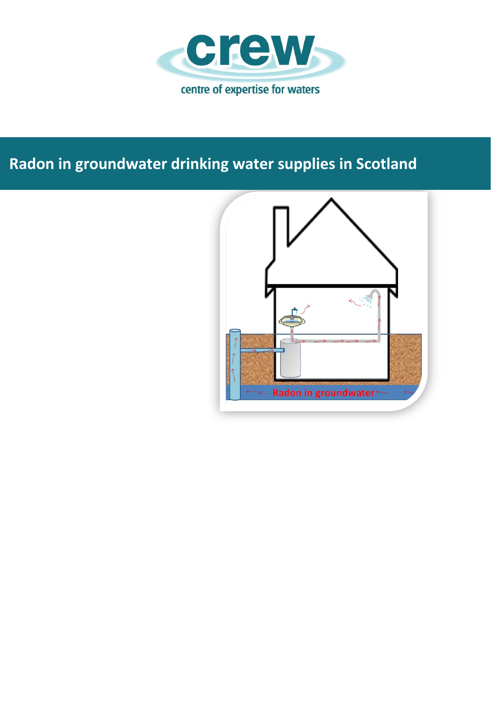

# **Radon in groundwater drinking water supplies in Scotland**

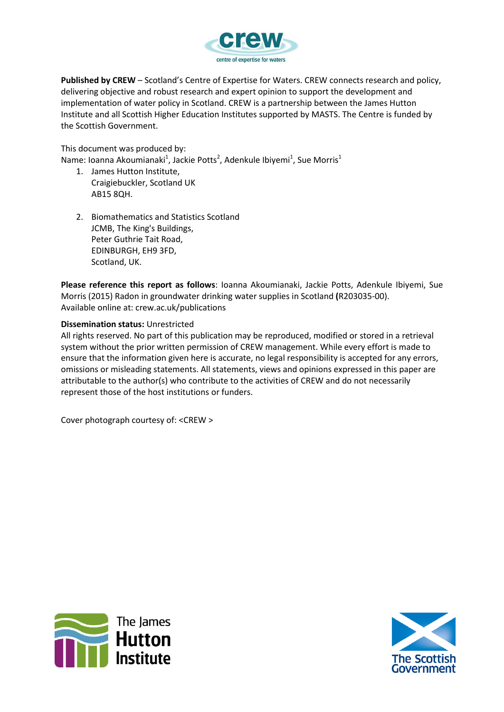

**Published by CREW** – Scotland's Centre of Expertise for Waters. CREW connects research and policy, delivering objective and robust research and expert opinion to support the development and implementation of water policy in Scotland. CREW is a partnership between the James Hutton Institute and all Scottish Higher Education Institutes supported by MASTS. The Centre is funded by the Scottish Government.

This document was produced by:

Name: Ioanna Akoumianaki<sup>1</sup>, Jackie Potts<sup>2</sup>, Adenkule Ibiyemi<sup>1</sup>, Sue Morris<sup>1</sup>

- 1. James Hutton Institute, Craigiebuckler, Scotland UK AB15 8QH.
- 2. Biomathematics and Statistics Scotland JCMB, The King's Buildings, Peter Guthrie Tait Road, EDINBURGH, EH9 3FD, Scotland, UK.

**Please reference this report as follows**: Ioanna Akoumianaki, Jackie Potts, Adenkule Ibiyemi, Sue Morris (2015) Radon in groundwater drinking water supplies in Scotland **(**R203035-00). Available online at: crew.ac.uk/publications

#### **Dissemination status:** Unrestricted

All rights reserved. No part of this publication may be reproduced, modified or stored in a retrieval system without the prior written permission of CREW management. While every effort is made to ensure that the information given here is accurate, no legal responsibility is accepted for any errors, omissions or misleading statements. All statements, views and opinions expressed in this paper are attributable to the author(s) who contribute to the activities of CREW and do not necessarily represent those of the host institutions or funders.

Cover photograph courtesy of: <CREW >



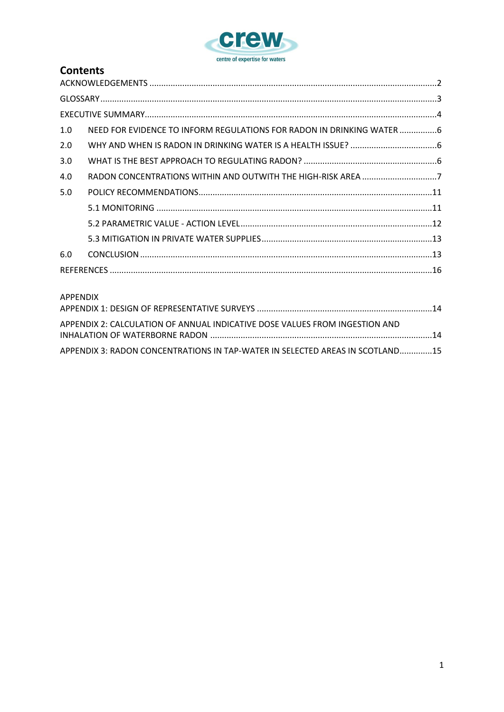

### **Contents**

| 1.0 | NEED FOR EVIDENCE TO INFORM REGULATIONS FOR RADON IN DRINKING WATER 6 |  |
|-----|-----------------------------------------------------------------------|--|
| 2.0 |                                                                       |  |
| 3.0 |                                                                       |  |
| 4.0 | RADON CONCENTRATIONS WITHIN AND OUTWITH THE HIGH-RISK AREA 7          |  |
| 5.0 |                                                                       |  |
|     |                                                                       |  |
|     |                                                                       |  |
|     |                                                                       |  |
| 6.0 |                                                                       |  |
|     |                                                                       |  |

### APPENDIX

| APPENDIX 2: CALCULATION OF ANNUAL INDICATIVE DOSE VALUES FROM INGESTION AND   |  |
|-------------------------------------------------------------------------------|--|
|                                                                               |  |
|                                                                               |  |
| APPENDIX 3: RADON CONCENTRATIONS IN TAP-WATER IN SELECTED AREAS IN SCOTLAND15 |  |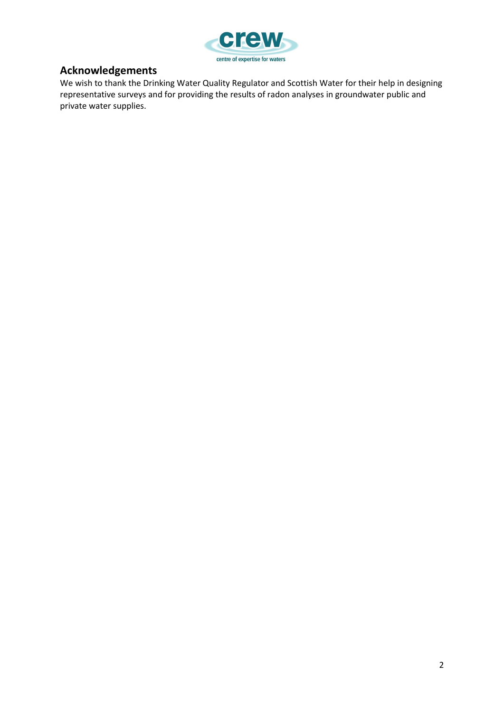

### **Acknowledgements**

We wish to thank the Drinking Water Quality Regulator and Scottish Water for their help in designing representative surveys and for providing the results of radon analyses in groundwater public and private water supplies.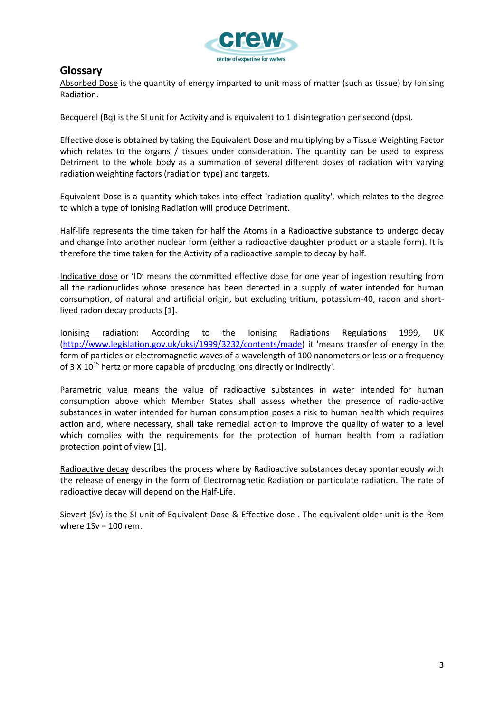

### **Glossary**

Absorbed Dose is the quantity of energy imparted to unit mass of matter (such as tissue) by [Ionising](http://www.ionactive.co.uk/glossary/Ionising_Radiation.html)  [Radiation.](http://www.ionactive.co.uk/glossary/Ionising_Radiation.html)

Becquerel (Bq) is the SI unit for [Activity](http://www.ionactive.co.uk/glossary/Activity.html) and is equivalent to 1 disintegration per second (dps).

Effective dose is obtained by taking the [Equivalent Dose](http://www.ionactive.co.uk/glossary/Equivalent_Dose.html) and multiplying by a [Tissue Weighting Factor](http://www.ionactive.co.uk/glossary/Tissue_Weighting_Factor.html) which relates to the organs / tissues under consideration. The quantity can be used to express [Detriment](http://www.ionactive.co.uk/glossary/Detriment_Radiation.html) to the whole body as a summation of several different doses of radiation with varying radiation weighting factors (radiation type) and targets.

Equivalent Dose is a quantity which takes into effect 'radiation quality', which relates to the degree to which a type of [Ionising Radiation](http://www.ionactive.co.uk/glossary/Ionising_Radiation.html) will produce Detriment.

Half-life represents the time taken for half the [Atoms](http://www.ionactive.co.uk/glossary/Atom.html) in a [Radioactive](http://www.ionactive.co.uk/glossary/Radioactive.html) substance to undergo decay and change into another nuclear form (either a radioactive daughter product or a stable form). It is therefore the time taken for the [Activity](http://www.ionactive.co.uk/glossary/Activity.html) of a radioactive sample to decay by half.

Indicative dose or 'ID' means the committed effective dose for one year of ingestion resulting from all the radionuclides whose presence has been detected in a supply of water intended for human consumption, of natural and artificial origin, but excluding tritium, potassium-40, radon and shortlived radon decay products [1].

Ionising radiation: According to the Ionising Radiations Regulations 1999, UK [\(http://www.legislation.gov.uk/uksi/1999/3232/contents/made\)](http://www.legislation.gov.uk/uksi/1999/3232/contents/made) it 'means transfer of energy in the form of particles or electromagnetic waves of a wavelength of 100 nanometers or less or a frequency of 3 X  $10^{15}$  hertz or more capable of producing ions directly or indirectly'.

Parametric value means the value of radioactive substances in water intended for human consumption above which Member States shall assess whether the presence of radio-active substances in water intended for human consumption poses a risk to human health which requires action and, where necessary, shall take remedial action to improve the quality of water to a level which complies with the requirements for the protection of human health from a radiation protection point of view [1].

Radioactive decay describes the process where by [Radioactive](http://www.ionactive.co.uk/glossary/Radioactive.html) substances decay spontaneously with the release of energy in the form of [Electromagnetic Radiation](http://www.ionactive.co.uk/glossary/Electromagnetic_Spectrum.html) or particulate radiation. The rate of radioactive decay will depend on the [Half-Life.](http://www.ionactive.co.uk/glossary/HalfLife.html)

Sievert (Sv) is the SI unit of [Equivalent Dose](http://www.ionactive.co.uk/glossary/Equivalent_Dose.html) & [Effective dose](http://www.ionactive.co.uk/glossary/Effective_Dose.html) . The equivalent older unit is the [Rem](http://www.ionactive.co.uk/glossary/Rem.html) where  $1$ Sv =  $100$  rem.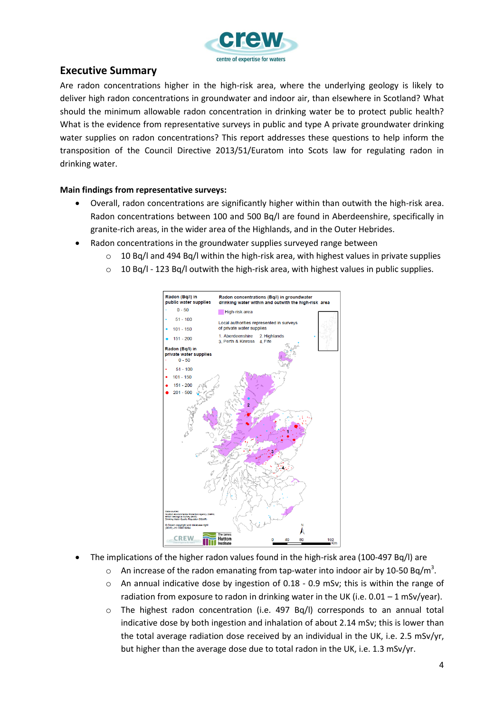

### **Executive Summary**

Are radon concentrations higher in the high-risk area, where the underlying geology is likely to deliver high radon concentrations in groundwater and indoor air, than elsewhere in Scotland? What should the minimum allowable radon concentration in drinking water be to protect public health? What is the evidence from representative surveys in public and type A private groundwater drinking water supplies on radon concentrations? This report addresses these questions to help inform the transposition of the Council Directive 2013/51/Euratom into Scots law for regulating radon in drinking water.

### **Main findings from representative surveys:**

- Overall, radon concentrations are significantly higher within than outwith the high-risk area. Radon concentrations between 100 and 500 Bq/l are found in Aberdeenshire, specifically in granite-rich areas, in the wider area of the Highlands, and in the Outer Hebrides.
- Radon concentrations in the groundwater supplies surveyed range between
	- $\circ$  10 Bq/l and 494 Bq/l within the high-risk area, with highest values in private supplies
	- $\circ$  10 Bq/l 123 Bq/l outwith the high-risk area, with highest values in public supplies.



- The implications of the higher radon values found in the high-risk area (100-497 Bq/l) are
	- $\circ$  An increase of the radon emanating from tap-water into indoor air by 10-50 Bq/m<sup>3</sup>.
	- $\circ$  An annual indicative dose by ingestion of 0.18 0.9 mSv; this is within the range of radiation from exposure to radon in drinking water in the UK (i.e.  $0.01 - 1$  mSv/year).
	- $\circ$  The highest radon concentration (i.e. 497 Bq/l) corresponds to an annual total indicative dose by both ingestion and inhalation of about 2.14 mSv; this is lower than the total average radiation dose received by an individual in the UK, i.e. 2.5 mSv/yr, but higher than the average dose due to total radon in the UK, i.e. 1.3 mSv/yr.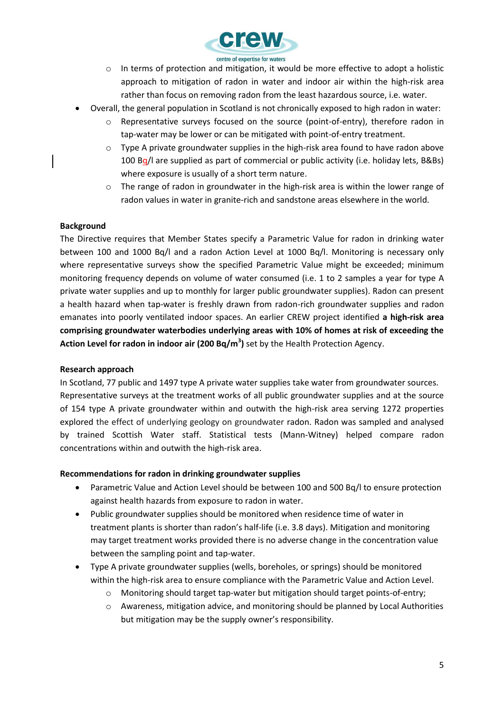

- o In terms of protection and mitigation, it would be more effective to adopt a holistic approach to mitigation of radon in water and indoor air within the high-risk area rather than focus on removing radon from the least hazardous source, i.e. water.
- Overall, the general population in Scotland is not chronically exposed to high radon in water:
	- $\circ$  Representative surveys focused on the source (point-of-entry), therefore radon in tap-water may be lower or can be mitigated with point-of-entry treatment.
	- $\circ$  Type A private groundwater supplies in the high-risk area found to have radon above 100 Bg/l are supplied as part of commercial or public activity (i.e. holiday lets, B&Bs) where exposure is usually of a short term nature.
	- $\circ$  The range of radon in groundwater in the high-risk area is within the lower range of radon values in water in granite-rich and sandstone areas elsewhere in the world.

#### **Background**

The Directive requires that Member States specify a Parametric Value for radon in drinking water between 100 and 1000 Bq/l and a radon Action Level at 1000 Bq/l. Monitoring is necessary only where representative surveys show the specified Parametric Value might be exceeded; minimum monitoring frequency depends on volume of water consumed (i.e. 1 to 2 samples a year for type A private water supplies and up to monthly for larger public groundwater supplies). Radon can present a health hazard when tap-water is freshly drawn from radon-rich groundwater supplies and radon emanates into poorly ventilated indoor spaces. An earlier CREW project identified **a high-risk area comprising groundwater waterbodies underlying areas with 10% of homes at risk of exceeding the Action Level for radon in indoor air (200 Bq/m<sup>3</sup> )** set by the Health Protection Agency.

#### **Research approach**

In Scotland, 77 public and 1497 type A private water supplies take water from groundwater sources. Representative surveys at the treatment works of all public groundwater supplies and at the source of 154 type A private groundwater within and outwith the high-risk area serving 1272 properties explored the effect of underlying geology on groundwater radon. Radon was sampled and analysed by trained Scottish Water staff. Statistical tests (Mann-Witney) helped compare radon concentrations within and outwith the high-risk area.

#### **Recommendations for radon in drinking groundwater supplies**

- Parametric Value and Action Level should be between 100 and 500 Bq/l to ensure protection against health hazards from exposure to radon in water.
- Public groundwater supplies should be monitored when residence time of water in treatment plants is shorter than radon's half-life (i.e. 3.8 days). Mitigation and monitoring may target treatment works provided there is no adverse change in the concentration value between the sampling point and tap-water.
- Type A private groundwater supplies (wells, boreholes, or springs) should be monitored within the high-risk area to ensure compliance with the Parametric Value and Action Level.
	- o Monitoring should target tap-water but mitigation should target points-of-entry;
	- o Awareness, mitigation advice, and monitoring should be planned by Local Authorities but mitigation may be the supply owner's responsibility.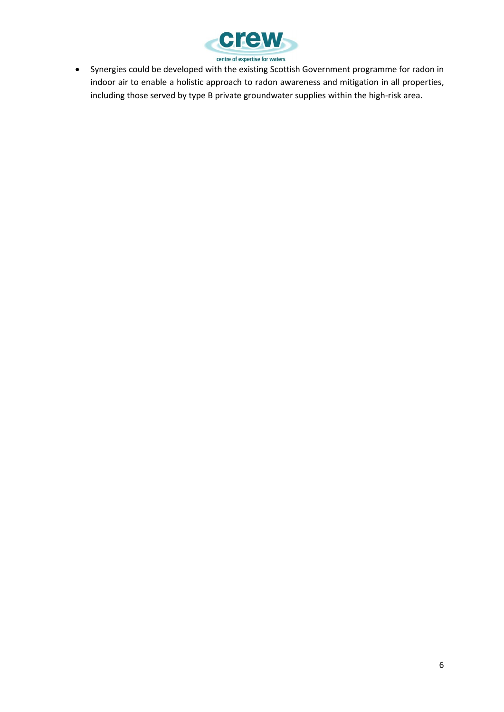

 Synergies could be developed with the existing Scottish Government programme for radon in indoor air to enable a holistic approach to radon awareness and mitigation in all properties, including those served by type B private groundwater supplies within the high-risk area.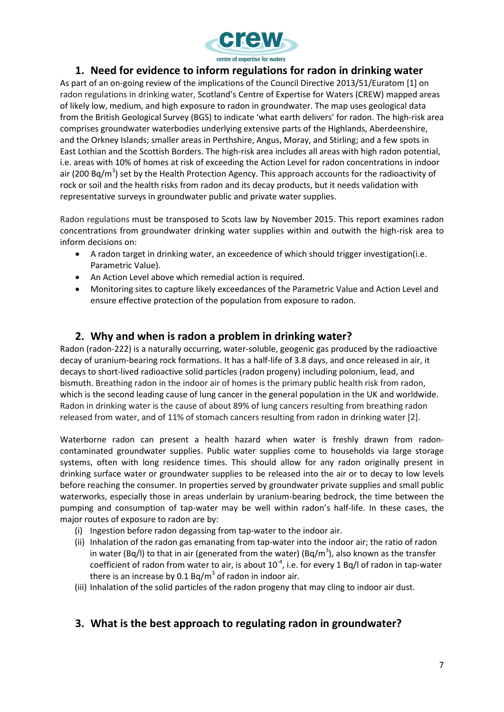

### **1. Need for evidence to inform regulations for radon in drinking water**

As part of an on-going review of the implications of the Council Directive 2013/51/Euratom [1] on radon regulations in drinking water, Scotland's Centre of Expertise for Waters (CREW) mapped areas of likely low, medium, and high exposure to radon in groundwater. The map uses geological data from the British Geological Survey (BGS) to indicate 'what earth delivers' for radon. The high-risk area comprises groundwater waterbodies underlying extensive parts of the Highlands, Aberdeenshire, and the Orkney Islands; smaller areas in Perthshire, Angus, Moray, and Stirling; and a few spots in East Lothian and the Scottish Borders. The high-risk area includes all areas with high radon potential, i.e. areas with 10% of homes at risk of exceeding the Action Level for radon concentrations in indoor air (200 Bq/m<sup>3</sup>) set by the Health Protection Agency. This approach accounts for the radioactivity of rock or soil and the health risks from radon and its decay products, but it needs validation with representative surveys in groundwater public and private water supplies.

Radon regulations must be transposed to Scots law by November 2015. This report examines radon concentrations from groundwater drinking water supplies within and outwith the high-risk area to inform decisions on:

- A radon target in drinking water, an exceedence of which should trigger investigation(i.e. Parametric Value).
- An Action Level above which remedial action is required.
- Monitoring sites to capture likely exceedances of the Parametric Value and Action Level and ensure effective protection of the population from exposure to radon.

### **2. Why and when is radon a problem in drinking water?**

Radon (radon-222) is a naturally occurring, water-soluble, geogenic gas produced by the radioactive decay of uranium-bearing rock formations. It has a half-life of 3.8 days, and once released in air, it decays to short-lived radioactive solid particles (radon progeny) including polonium, lead, and bismuth. Breathing radon in the indoor air of homes is the primary public health risk from radon, which is the second leading cause of lung cancer in the general population in the UK and worldwide. Radon in drinking water is the cause of about 89% of lung cancers resulting from breathing radon released from water, and of 11% of stomach cancers resulting from radon in drinking water [2].

Waterborne radon can present a health hazard when water is freshly drawn from radoncontaminated groundwater supplies. Public water supplies come to households via large storage systems, often with long residence times. This should allow for any radon originally present in drinking surface water or groundwater supplies to be released into the air or to decay to low levels before reaching the consumer. In properties served by groundwater private supplies and small public waterworks, especially those in areas underlain by uranium-bearing bedrock, the time between the pumping and consumption of tap-water may be well within radon's half-life. In these cases, the major routes of exposure to radon are by:

- (i) Ingestion before radon degassing from tap-water to the indoor air.
- (ii) Inhalation of the radon gas emanating from tap-water into the indoor air; the ratio of radon in water (Bq/l) to that in air (generated from the water) (Bq/m<sup>3</sup>), also known as the transfer coefficient of radon from water to air, is about  $10^{-4}$ , i.e. for every 1 Bq/l of radon in tap-water there is an increase by 0.1 Bq/m<sup>3</sup> of radon in indoor air.
- (iii) Inhalation of the solid particles of the radon progeny that may cling to indoor air dust.

### **3. What is the best approach to regulating radon in groundwater?**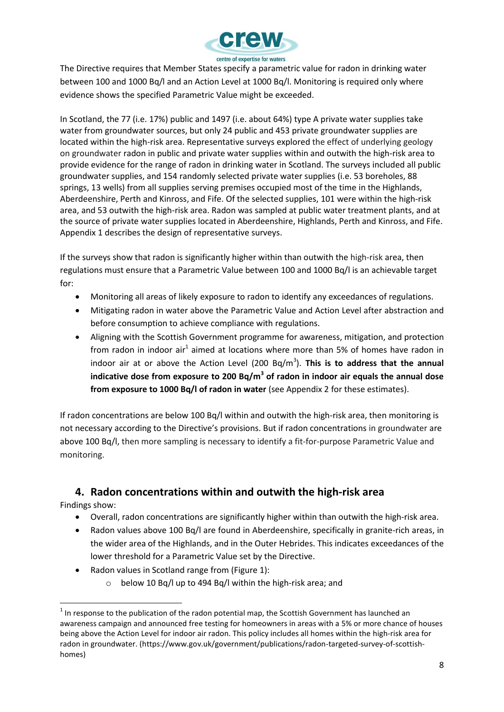

The Directive requires that Member States specify a parametric value for radon in drinking water between 100 and 1000 Bq/l and an Action Level at 1000 Bq/l. Monitoring is required only where evidence shows the specified Parametric Value might be exceeded.

In Scotland, the 77 (i.e. 17%) public and 1497 (i.e. about 64%) type A private water supplies take water from groundwater sources, but only 24 public and 453 private groundwater supplies are located within the high-risk area. Representative surveys explored the effect of underlying geology on groundwater radon in public and private water supplies within and outwith the high-risk area to provide evidence for the range of radon in drinking water in Scotland. The surveys included all public groundwater supplies, and 154 randomly selected private water supplies (i.e. 53 boreholes, 88 springs, 13 wells) from all supplies serving premises occupied most of the time in the Highlands, Aberdeenshire, Perth and Kinross, and Fife. Of the selected supplies, 101 were within the high-risk area, and 53 outwith the high-risk area. Radon was sampled at public water treatment plants, and at the source of private water supplies located in Aberdeenshire, Highlands, Perth and Kinross, and Fife. Appendix 1 describes the design of representative surveys.

If the surveys show that radon is significantly higher within than outwith the high-risk area, then regulations must ensure that a Parametric Value between 100 and 1000 Bq/l is an achievable target for:

- Monitoring all areas of likely exposure to radon to identify any exceedances of regulations.
- Mitigating radon in water above the Parametric Value and Action Level after abstraction and before consumption to achieve compliance with regulations.
- Aligning with the Scottish Government programme for awareness, mitigation, and protection from radon in indoor air<sup>1</sup> aimed at locations where more than 5% of homes have radon in indoor air at or above the Action Level (200 Bq/m<sup>3</sup>). This is to address that the annual **indicative dose from exposure to 200 Bq/m<sup>3</sup> of radon in indoor air equals the annual dose from exposure to 1000 Bq/l of radon in water** (see Appendix 2 for these estimates).

If radon concentrations are below 100 Bq/l within and outwith the high-risk area, then monitoring is not necessary according to the Directive's provisions. But if radon concentrations in groundwater are above 100 Bq/l, then more sampling is necessary to identify a fit-for-purpose Parametric Value and monitoring.

### **4. Radon concentrations within and outwith the high-risk area**

Findings show:

l

- Overall, radon concentrations are significantly higher within than outwith the high-risk area.
- Radon values above 100 Bq/l are found in Aberdeenshire, specifically in granite-rich areas, in the wider area of the Highlands, and in the Outer Hebrides. This indicates exceedances of the lower threshold for a Parametric Value set by the Directive.
- Radon values in Scotland range from (Figure 1):
	- o below 10 Bq/l up to 494 Bq/l within the high-risk area; and

 $^{1}$  In response to the publication of the radon potential map, the Scottish Government has launched an awareness campaign and announced free testing for homeowners in areas with a 5% or more chance of houses being above the Action Level for indoor air radon. This policy includes all homes within the high-risk area for radon in groundwater. (https://www.gov.uk/government/publications/radon-targeted-survey-of-scottishhomes)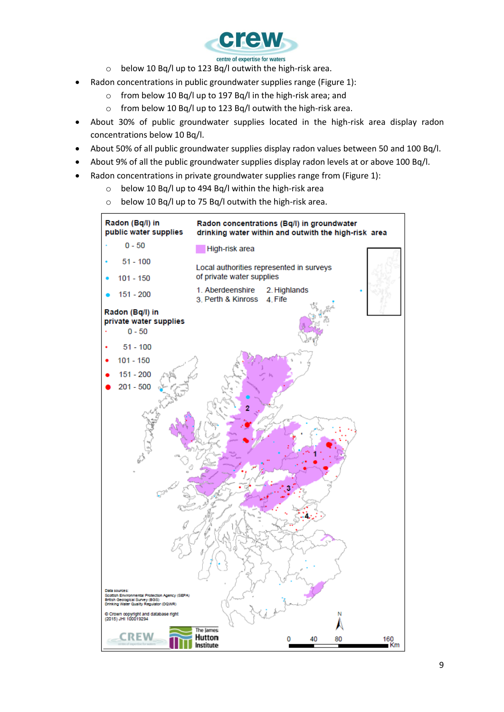

- o below 10 Bq/l up to 123 Bq/l outwith the high-risk area.
- Radon concentrations in public groundwater supplies range (Figure 1):
	- o from below 10 Bq/l up to 197 Bq/l in the high-risk area; and
	- o from below 10 Bq/l up to 123 Bq/l outwith the high-risk area.
- About 30% of public groundwater supplies located in the high-risk area display radon concentrations below 10 Bq/l.
- About 50% of all public groundwater supplies display radon values between 50 and 100 Bq/l.
- About 9% of all the public groundwater supplies display radon levels at or above 100 Bq/l.
- Radon concentrations in private groundwater supplies range from (Figure 1):
	- o below 10 Bq/l up to 494 Bq/l within the high-risk area
	- o below 10 Bq/l up to 75 Bq/l outwith the high-risk area.

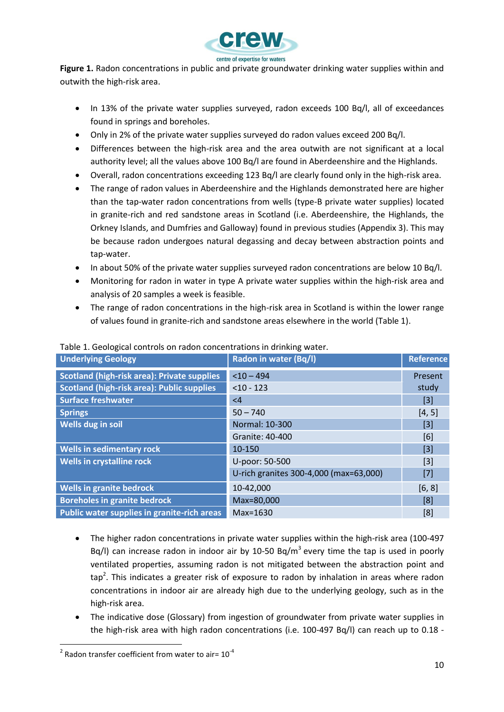

**Figure 1.** Radon concentrations in public and private groundwater drinking water supplies within and outwith the high-risk area.

- In 13% of the private water supplies surveyed, radon exceeds 100 Bq/l, all of exceedances found in springs and boreholes.
- Only in 2% of the private water supplies surveyed do radon values exceed 200 Bq/l.
- Differences between the high-risk area and the area outwith are not significant at a local authority level; all the values above 100 Bq/l are found in Aberdeenshire and the Highlands.
- Overall, radon concentrations exceeding 123 Bq/l are clearly found only in the high-risk area.
- The range of radon values in Aberdeenshire and the Highlands demonstrated here are higher than the tap-water radon concentrations from wells (type-B private water supplies) located in granite-rich and red sandstone areas in Scotland (i.e. Aberdeenshire, the Highlands, the Orkney Islands, and Dumfries and Galloway) found in previous studies (Appendix 3). This may be because radon undergoes natural degassing and decay between abstraction points and tap-water.
- In about 50% of the private water supplies surveyed radon concentrations are below 10 Bq/l.
- Monitoring for radon in water in type A private water supplies within the high-risk area and analysis of 20 samples a week is feasible.
- The range of radon concentrations in the high-risk area in Scotland is within the lower range of values found in granite-rich and sandstone areas elsewhere in the world (Table 1).

| Radon in water (Bq/l)                  | <b>Reference</b> |
|----------------------------------------|------------------|
| $<$ 10 - 494                           | Present          |
| $< 10 - 123$                           | study            |
| $\leq 4$                               | $[3]$            |
| $50 - 740$                             | [4, 5]           |
| Normal: 10-300                         | $[3]$            |
| Granite: 40-400                        | [6]              |
| 10-150                                 | $[3]$            |
| U-poor: 50-500                         | $[3]$            |
| U-rich granites 300-4,000 (max=63,000) | $[7]$            |
| 10-42,000                              | [6, 8]           |
| Max=80,000                             | [8]              |
| $Max=1630$                             | [8]              |
|                                        |                  |

#### Table 1. Geological controls on radon concentrations in drinking water.

- The higher radon concentrations in private water supplies within the high-risk area (100-497 Bq/l) can increase radon in indoor air by 10-50 Bq/m<sup>3</sup> every time the tap is used in poorly ventilated properties, assuming radon is not mitigated between the abstraction point and  $\mathsf{tap}^2$ . This indicates a greater risk of exposure to radon by inhalation in areas where radon concentrations in indoor air are already high due to the underlying geology, such as in the high-risk area.
- The indicative dose (Glossary) from ingestion of groundwater from private water supplies in the high-risk area with high radon concentrations (i.e. 100-497 Bq/l) can reach up to 0.18 -

l

 $^{2}$  Radon transfer coefficient from water to air= 10<sup>-4</sup>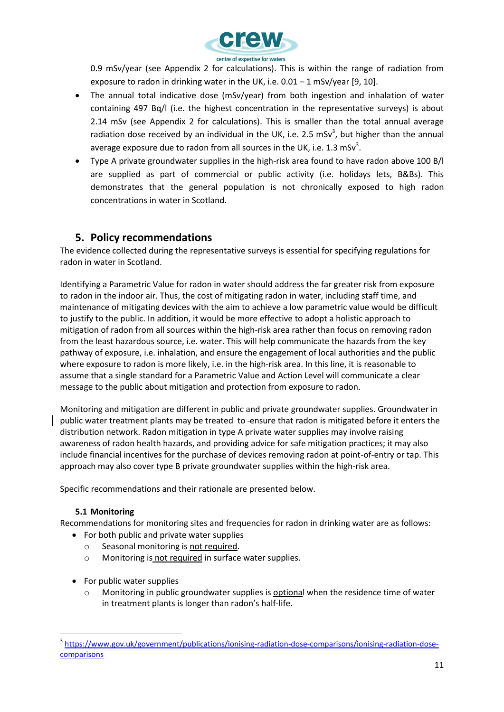

0.9 mSv/year (see Appendix 2 for calculations). This is within the range of radiation from exposure to radon in drinking water in the UK, i.e.  $0.01 - 1$  mSv/year [9, 10].

- The annual total indicative dose (mSv/year) from both ingestion and inhalation of water containing 497 Bq/l (i.e. the highest concentration in the representative surveys) is about 2.14 mSv (see Appendix 2 for calculations). This is smaller than the total annual average radiation dose received by an individual in the UK, i.e. 2.5 mSv<sup>3</sup>, but higher than the annual average exposure due to radon from all sources in the UK, i.e. 1.3 mSv<sup>3</sup>.
- Type A private groundwater supplies in the high-risk area found to have radon above 100 B/l are supplied as part of commercial or public activity (i.e. holidays lets, B&Bs). This demonstrates that the general population is not chronically exposed to high radon concentrations in water in Scotland.

### **5. Policy recommendations**

The evidence collected during the representative surveys is essential for specifying regulations for radon in water in Scotland.

Identifying a Parametric Value for radon in water should address the far greater risk from exposure to radon in the indoor air. Thus, the cost of mitigating radon in water, including staff time, and maintenance of mitigating devices with the aim to achieve a low parametric value would be difficult to justify to the public. In addition, it would be more effective to adopt a holistic approach to mitigation of radon from all sources within the high-risk area rather than focus on removing radon from the least hazardous source, i.e. water. This will help communicate the hazards from the key pathway of exposure, i.e. inhalation, and ensure the engagement of local authorities and the public where exposure to radon is more likely, i.e. in the high-risk area. In this line, it is reasonable to assume that a single standard for a Parametric Value and Action Level will communicate a clear message to the public about mitigation and protection from exposure to radon.

Monitoring and mitigation are different in public and private groundwater supplies. Groundwater in public water treatment plants may be treated to ensure that radon is mitigated before it enters the distribution network. Radon mitigation in type A private water supplies may involve raising awareness of radon health hazards, and providing advice for safe mitigation practices; it may also include financial incentives for the purchase of devices removing radon at point-of-entry or tap. This approach may also cover type B private groundwater supplies within the high-risk area.

Specific recommendations and their rationale are presented below.

#### **5.1 Monitoring**

 $\overline{a}$ 

Recommendations for monitoring sites and frequencies for radon in drinking water are as follows:

- For both public and private water supplies
	- o Seasonal monitoring is not required.
	- o Monitoring is not required in surface water supplies.
- For public water supplies
	- $\circ$  Monitoring in public groundwater supplies is optional when the residence time of water in treatment plants is longer than radon's half-life.

<sup>3</sup> https://www.gov.uk/government/publications/ionising-radiation-dose-comparisons/ionising-radiation-dosecomparisons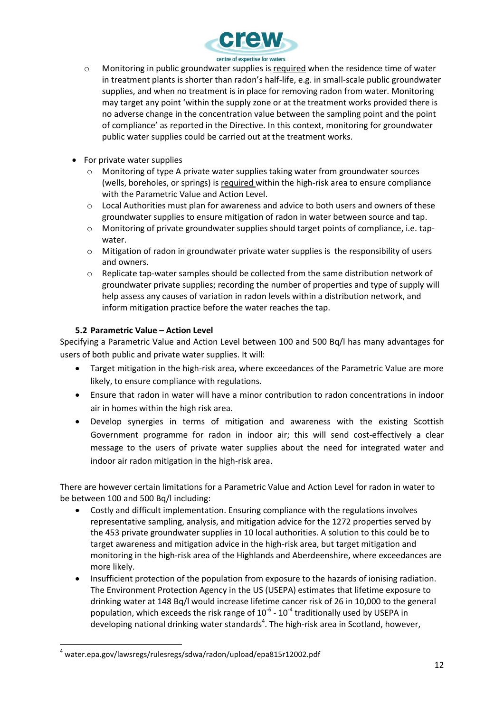

- o Monitoring in public groundwater supplies is required when the residence time of water in treatment plants is shorter than radon's half-life, e.g. in small-scale public groundwater supplies, and when no treatment is in place for removing radon from water. Monitoring may target any point 'within the supply zone or at the treatment works provided there is no adverse change in the concentration value between the sampling point and the point of compliance' as reported in the Directive. In this context, monitoring for groundwater public water supplies could be carried out at the treatment works.
- For private water supplies
	- $\circ$  Monitoring of type A private water supplies taking water from groundwater sources (wells, boreholes, or springs) is required within the high-risk area to ensure compliance with the Parametric Value and Action Level.
	- $\circ$  Local Authorities must plan for awareness and advice to both users and owners of these groundwater supplies to ensure mitigation of radon in water between source and tap.
	- o Monitoring of private groundwater supplies should target points of compliance, i.e. tapwater.
	- o Mitigation of radon in groundwater private water supplies is the responsibility of users and owners.
	- o Replicate tap-water samples should be collected from the same distribution network of groundwater private supplies; recording the number of properties and type of supply will help assess any causes of variation in radon levels within a distribution network, and inform mitigation practice before the water reaches the tap.

#### **5.2 Parametric Value – Action Level**

Specifying a Parametric Value and Action Level between 100 and 500 Bq/l has many advantages for users of both public and private water supplies. It will:

- Target mitigation in the high-risk area, where exceedances of the Parametric Value are more likely, to ensure compliance with regulations.
- Ensure that radon in water will have a minor contribution to radon concentrations in indoor air in homes within the high risk area.
- Develop synergies in terms of mitigation and awareness with the existing Scottish Government programme for radon in indoor air; this will send cost-effectively a clear message to the users of private water supplies about the need for integrated water and indoor air radon mitigation in the high-risk area.

There are however certain limitations for a Parametric Value and Action Level for radon in water to be between 100 and 500 Bq/l including:

- Costly and difficult implementation. Ensuring compliance with the regulations involves representative sampling, analysis, and mitigation advice for the 1272 properties served by the 453 private groundwater supplies in 10 local authorities. A solution to this could be to target awareness and mitigation advice in the high-risk area, but target mitigation and monitoring in the high-risk area of the Highlands and Aberdeenshire, where exceedances are more likely.
- Insufficient protection of the population from exposure to the hazards of ionising radiation. The Environment Protection Agency in the US (USEPA) estimates that lifetime exposure to drinking water at 148 Bq/l would increase lifetime cancer risk of 26 in 10,000 to the general population, which exceeds the risk range of  $10^{-6}$  -  $10^{-4}$  traditionally used by USEPA in developing national drinking water standards<sup>4</sup>. The high-risk area in Scotland, however,

l

<sup>4</sup> water.epa.gov/lawsregs/rulesregs/sdwa/radon/upload/epa815r12002.pdf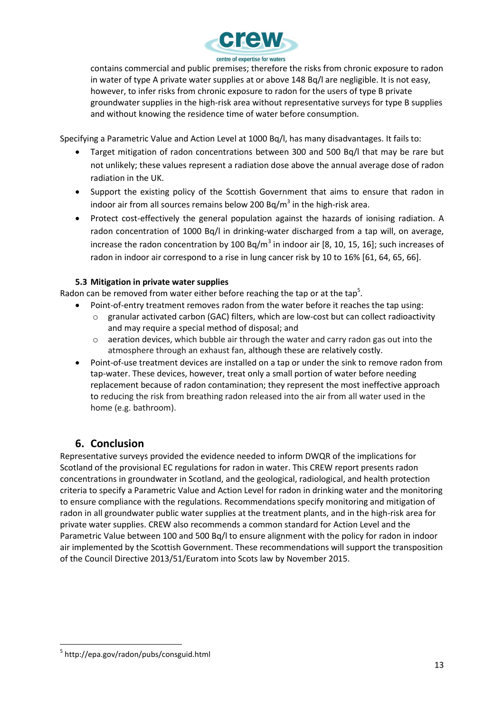

contains commercial and public premises; therefore the risks from chronic exposure to radon in water of type A private water supplies at or above 148 Bq/l are negligible. It is not easy, however, to infer risks from chronic exposure to radon for the users of type B private groundwater supplies in the high-risk area without representative surveys for type B supplies and without knowing the residence time of water before consumption.

Specifying a Parametric Value and Action Level at 1000 Bq/l, has many disadvantages. It fails to:

- Target mitigation of radon concentrations between 300 and 500 Bq/l that may be rare but not unlikely; these values represent a radiation dose above the annual average dose of radon radiation in the UK.
- Support the existing policy of the Scottish Government that aims to ensure that radon in indoor air from all sources remains below 200 Bq/m<sup>3</sup> in the high-risk area.
- Protect cost-effectively the general population against the hazards of ionising radiation. A radon concentration of 1000 Bq/l in drinking-water discharged from a tap will, on average, increase the radon concentration by 100 Bq/m<sup>3</sup> in indoor air [8, 10, 15, 16]; such increases of radon in indoor air correspond to a rise in lung cancer risk by 10 to 16% [61, 64, 65, 66].

### **5.3 Mitigation in private water supplies**

Radon can be removed from water either before reaching the tap or at the tap<sup>5</sup>.

- Point-of-entry treatment removes radon from the water before it reaches the tap using:
	- o granular activated carbon (GAC) filters, which are low-cost but can collect radioactivity and may require a special method of disposal; and
	- $\circ$  aeration devices, which bubble air through the water and carry radon gas out into the atmosphere through an exhaust fan, although these are relatively costly.
- Point-of-use treatment devices are installed on a tap or under the sink to remove radon from tap-water. These devices, however, treat only a small portion of water before needing replacement because of radon contamination; they represent the most ineffective approach to reducing the risk from breathing radon released into the air from all water used in the home (e.g. bathroom).

### **6. Conclusion**

Representative surveys provided the evidence needed to inform DWQR of the implications for Scotland of the provisional EC regulations for radon in water. This CREW report presents radon concentrations in groundwater in Scotland, and the geological, radiological, and health protection criteria to specify a Parametric Value and Action Level for radon in drinking water and the monitoring to ensure compliance with the regulations. Recommendations specify monitoring and mitigation of radon in all groundwater public water supplies at the treatment plants, and in the high-risk area for private water supplies. CREW also recommends a common standard for Action Level and the Parametric Value between 100 and 500 Bq/l to ensure alignment with the policy for radon in indoor air implemented by the Scottish Government. These recommendations will support the transposition of the Council Directive 2013/51/Euratom into Scots law by November 2015.

l <sup>5</sup> http://epa.gov/radon/pubs/consguid.html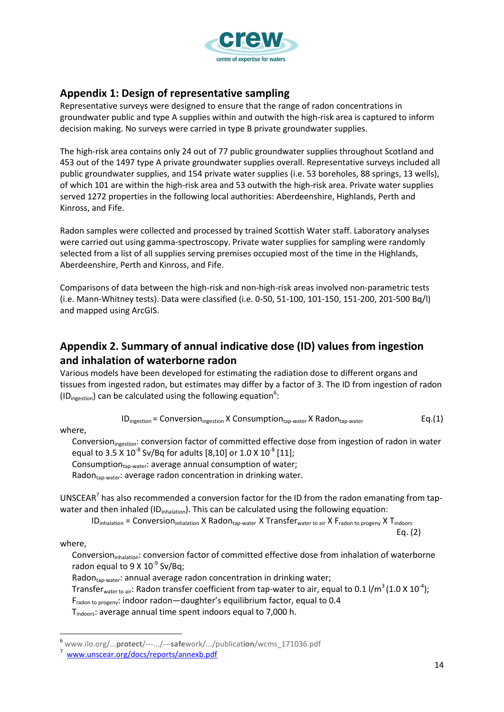

### **Appendix 1: Design of representative sampling**

Representative surveys were designed to ensure that the range of radon concentrations in groundwater public and type A supplies within and outwith the high-risk area is captured to inform decision making. No surveys were carried in type B private groundwater supplies.

The high-risk area contains only 24 out of 77 public groundwater supplies throughout Scotland and 453 out of the 1497 type A private groundwater supplies overall. Representative surveys included all public groundwater supplies, and 154 private water supplies (i.e. 53 boreholes, 88 springs, 13 wells), of which 101 are within the high-risk area and 53 outwith the high-risk area. Private water supplies served 1272 properties in the following local authorities: Aberdeenshire, Highlands, Perth and Kinross, and Fife.

Radon samples were collected and processed by trained Scottish Water staff. Laboratory analyses were carried out using gamma-spectroscopy. Private water supplies for sampling were randomly selected from a list of all supplies serving premises occupied most of the time in the Highlands, Aberdeenshire, Perth and Kinross, and Fife.

Comparisons of data between the high-risk and non-high-risk areas involved non-parametric tests (i.e. Mann-Whitney tests). Data were classified (i.e. 0-50, 51-100, 101-150, 151-200, 201-500 Bq/l) and mapped using ArcGIS.

### **Appendix 2. Summary of annual indicative dose (ID) values from ingestion and inhalation of waterborne radon**

Various models have been developed for estimating the radiation dose to different organs and tissues from ingested radon, but estimates may differ by a factor of 3. The ID from ingestion of radon (ID<sub>ingestion</sub>) can be calculated using the following equation<sup>6</sup>:

$$
ID_{\text{ingestion}} = \text{Conversion}_{\text{ingestion}} \times \text{Construction}_{\text{tap-water}} \times \text{Radon}_{\text{tap-water}} \qquad \qquad \text{Eq.}(1)
$$

where,

Conversion<sub>ingestion</sub>: conversion factor of committed effective dose from ingestion of radon in water equal to 3.5 X 10<sup>-8</sup> Sv/Bq for adults [8,10] or 1.0 X 10<sup>-8</sup> [11]; Consumption $_{\text{tap-water}}$ : average annual consumption of water;

Radontap-water: average radon concentration in drinking water.

UNSCEAR<sup>7</sup> has also recommended a conversion factor for the ID from the radon emanating from tapwater and then inhaled (ID<sub>inhalation</sub>). This can be calculated using the following equation:

 $ID_{inhalation} = Conversion_{inhalation} X Radon_{tap-water} X Transfer_{water to air} X F_{radon to progeny} X T_{indoors}$ 

where,

 $\overline{a}$ 

Conversion<sub>inhalation</sub>: conversion factor of committed effective dose from inhalation of waterborne radon equal to  $9 \times 10^{-9}$  Sv/Bq;

Radontap-water: annual average radon concentration in drinking water;

Transfer<sub>water to air</sub>: Radon transfer coefficient from tap-water to air, equal to 0.1 I/m<sup>3</sup> (1.0 X 10<sup>-4</sup>);

Fradon to progeny: indoor radon-daughter's equilibrium factor, equal to 0.4

T<sub>indoors</sub>: average annual time spent indoors equal to 7,000 h.

Eq. (2)

<sup>6</sup> www.ilo.org/...**protect**/---.../---**safe**work/.../publicat**ion**/wcms\_171036.pdf

<sup>7</sup> [www.unscear.org/docs/reports/annexb.pdf](http://www.unscear.org/docs/reports/annexb.pdf.)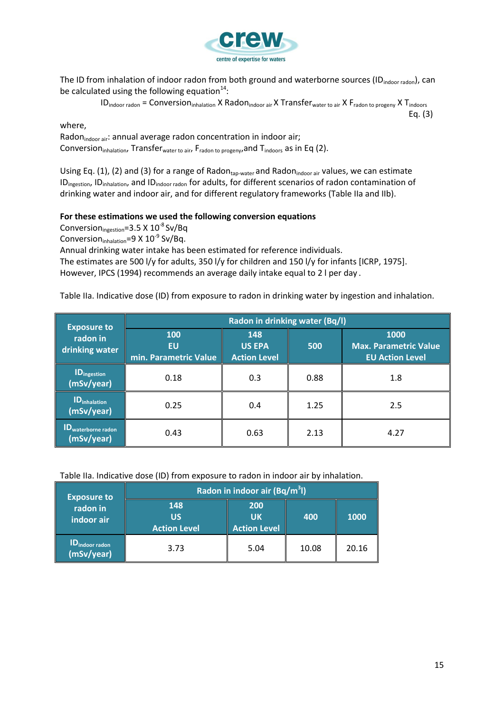

The ID from inhalation of indoor radon from both ground and waterborne sources (ID<sub>indoor radon</sub>), can be calculated using the following equation<sup>14</sup>:

> $ID_{\text{indoor radon}} = \text{Conversion}_{\text{inhalation}} \times \text{Radon}_{\text{indoor air}} \times \text{Transfer}_{\text{water to air}} \times F_{\text{radon to progeny}} \times T_{\text{indoor}}$ Eq. (3)

#### where,

Radon<sub>indoor air</sub>: annual average radon concentration in indoor air; Conversion<sub>inhalation</sub>, Transfer<sub>water to air</sub>, F<sub>radon to progeny</sub>, and T<sub>indoors</sub> as in Eq (2).

Using Eq. (1), (2) and (3) for a range of Radon<sub>tap-water</sub> and Radon<sub>indoor air</sub> values, we can estimate ID<sub>ingestion</sub>, ID<sub>inhalation</sub>, and ID<sub>indoor radon</sub> for adults, for different scenarios of radon contamination of drinking water and indoor air, and for different regulatory frameworks (Table IIa and IIb).

#### **For these estimations we used the following conversion equations**

Conversion $_{\text{ingestion}}$ =3.5 X 10<sup>-8</sup> Sv/Bq

Conversion $_{\text{inhalation}} = 9 \times 10^{-9}$  Sv/Bq.

Annual drinking water intake has been estimated for reference individuals. The estimates are 500 l/y for adults, 350 l/y for children and 150 l/y for infants [ICRP, 1975]. However, IPCS (1994) recommends an average daily intake equal to 2 l per day .

Table IIa. Indicative dose (ID) from exposure to radon in drinking water by ingestion and inhalation.

| <b>Exposure to</b>                            | Radon in drinking water (Bq/l)     |                                             |      |                                                                |
|-----------------------------------------------|------------------------------------|---------------------------------------------|------|----------------------------------------------------------------|
| radon in<br>drinking water                    | 100<br>EU<br>min. Parametric Value | 148<br><b>US EPA</b><br><b>Action Level</b> | 500  | 1000<br><b>Max. Parametric Value</b><br><b>EU Action Level</b> |
| <b>ID</b> <sub>ingestion</sub><br>(mSv/year)  | 0.18                               | 0.3                                         | 0.88 | 1.8                                                            |
| <b>ID</b> <sub>inhalation</sub><br>(mSv/year) | 0.25                               | 0.4                                         | 1.25 | 2.5                                                            |
| ID <sub>waterborne radon</sub><br>(mSv/year)  | 0.43                               | 0.63                                        | 2.13 | 4.27                                                           |

Table IIa. Indicative dose (ID) from exposure to radon in indoor air by inhalation.

| <b>Exposure to</b>                       | Radon in indoor air (Bq/m <sup>3</sup> l) |                                  |       |       |
|------------------------------------------|-------------------------------------------|----------------------------------|-------|-------|
| radon in<br>indoor air                   | 148<br>US<br><b>Action Level</b>          | 200<br>UK<br><b>Action Level</b> | 400   | 1000  |
| 1D <sub>indoor radon</sub><br>(mSv/year) | 3.73                                      | 5.04                             | 10.08 | 20.16 |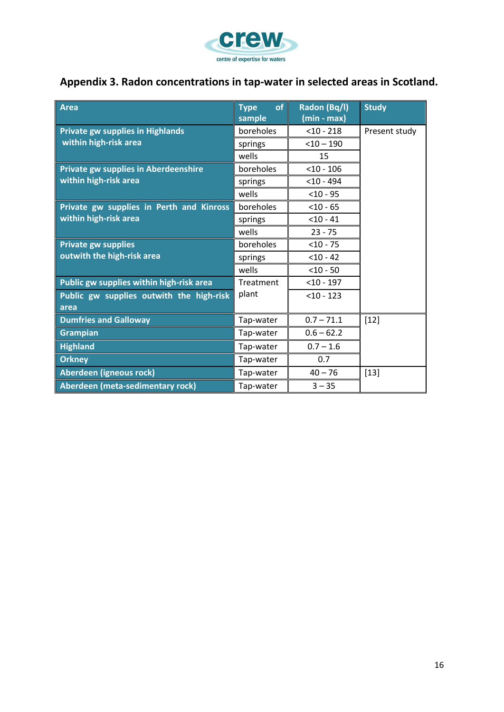

## **Appendix 3. Radon concentrations in tap-water in selected areas in Scotland.**

| <b>Area</b>                                      | of<br><b>Type</b><br>sample | Radon (Bq/l)<br>$(min - max)$ | <b>Study</b>  |
|--------------------------------------------------|-----------------------------|-------------------------------|---------------|
| <b>Private gw supplies in Highlands</b>          | boreholes                   | $<$ 10 - 218                  | Present study |
| within high-risk area                            | springs                     | $<$ 10 - 190                  |               |
|                                                  | wells                       | 15                            |               |
| <b>Private gw supplies in Aberdeenshire</b>      | boreholes                   | $<$ 10 - 106                  |               |
| within high-risk area                            | springs                     | $<$ 10 - 494                  |               |
|                                                  | wells                       | $<$ 10 - 95                   |               |
| Private gw supplies in Perth and Kinross         | boreholes                   | $<$ 10 - 65                   |               |
| within high-risk area                            | springs                     | $<$ 10 - 41                   |               |
|                                                  | wells                       | $23 - 75$                     |               |
| <b>Private gw supplies</b>                       | boreholes                   | $< 10 - 75$                   |               |
| outwith the high-risk area                       | springs                     | $< 10 - 42$                   |               |
|                                                  | wells                       | $<$ 10 - 50                   |               |
| Public gw supplies within high-risk area         | Treatment                   | $<$ 10 - 197                  |               |
| Public gw supplies outwith the high-risk<br>area | plant                       | $<$ 10 - 123                  |               |
| <b>Dumfries and Galloway</b>                     | Tap-water                   | $0.7 - 71.1$                  | $[12]$        |
| <b>Grampian</b>                                  | Tap-water                   | $0.6 - 62.2$                  |               |
| <b>Highland</b>                                  | Tap-water                   | $0.7 - 1.6$                   |               |
| <b>Orkney</b>                                    | Tap-water                   | 0.7                           |               |
| Aberdeen (igneous rock)                          | Tap-water                   | $40 - 76$                     | $[13]$        |
| Aberdeen (meta-sedimentary rock)                 | Tap-water                   | $3 - 35$                      |               |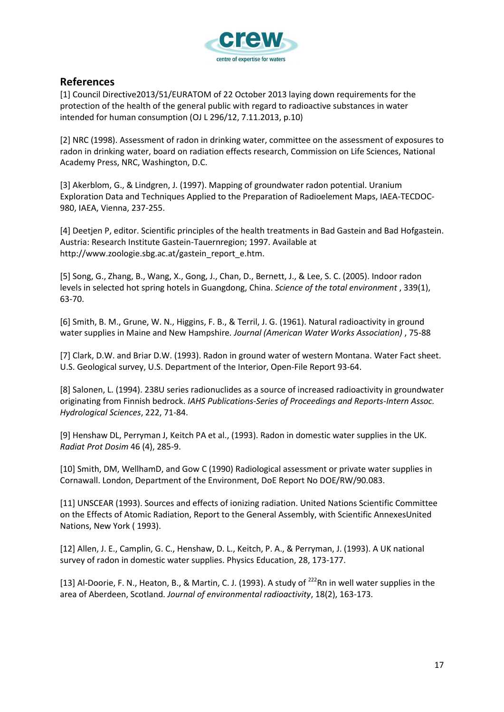

### **References**

[1] Council Directive2013/51/EURATOM of 22 October 2013 laying down requirements for the protection of the health of the general public with regard to radioactive substances in water intended for human consumption (OJ L 296/12, 7.11.2013, p.10)

[2] NRC (1998). Assessment of radon in drinking water, committee on the assessment of exposures to radon in drinking water, board on radiation effects research, Commission on Life Sciences, National Academy Press, NRC, Washington, D.C.

[3] Akerblom, G., & Lindgren, J. (1997). Mapping of groundwater radon potential. Uranium Exploration Data and Techniques Applied to the Preparation of Radioelement Maps, IAEA-TECDOC-980, IAEA, Vienna, 237-255.

[4] Deetjen P, editor. Scientific principles of the health treatments in Bad Gastein and Bad Hofgastein. Austria: Research Institute Gastein-Tauernregion; 1997. Available at http://www.zoologie.sbg.ac.at/gastein\_report\_e.htm.

[5] Song, G., Zhang, B., Wang, X., Gong, J., Chan, D., Bernett, J., & Lee, S. C. (2005). Indoor radon levels in selected hot spring hotels in Guangdong, China. *Science of the total environment* , 339(1), 63-70.

[6] Smith, B. M., Grune, W. N., Higgins, F. B., & Terril, J. G. (1961). Natural radioactivity in ground water supplies in Maine and New Hampshire*. Journal (American Water Works Association)* , 75-88

[7] Clark, D.W. and Briar D.W. (1993). Radon in ground water of western Montana. Water Fact sheet. U.S. Geological survey, U.S. Department of the Interior, Open-File Report 93-64.

[8] Salonen, L. (1994). 238U series radionuclides as a source of increased radioactivity in groundwater originating from Finnish bedrock. *IAHS Publications-Series of Proceedings and Reports-Intern Assoc. Hydrological Sciences*, 222, 71-84.

[9] Henshaw DL, Perryman J, Keitch PA et al., (1993). Radon in domestic water supplies in the UK. *Radiat Prot Dosim* 46 (4), 285-9.

[10] Smith, DM, WellhamD, and Gow C (1990) Radiological assessment or private water supplies in Cornawall. London, Department of the Environment, DoE Report No DOE/RW/90.083.

[11] UNSCEAR (1993). Sources and effects of ionizing radiation. United Nations Scientific Committee on the Effects of Atomic Radiation, Report to the General Assembly, with Scientific AnnexesUnited Nations, New York ( 1993).

[12] Allen, J. E., Camplin, G. C., Henshaw, D. L., Keitch, P. A., & Perryman, J. (1993). A UK national survey of radon in domestic water supplies. Physics Education, 28, 173-177.

[13] Al-Doorie, F. N., Heaton, B., & Martin, C. J. (1993). A study of <sup>222</sup>Rn in well water supplies in the area of Aberdeen, Scotland. *Journal of environmental radioactivity*, 18(2), 163-173.